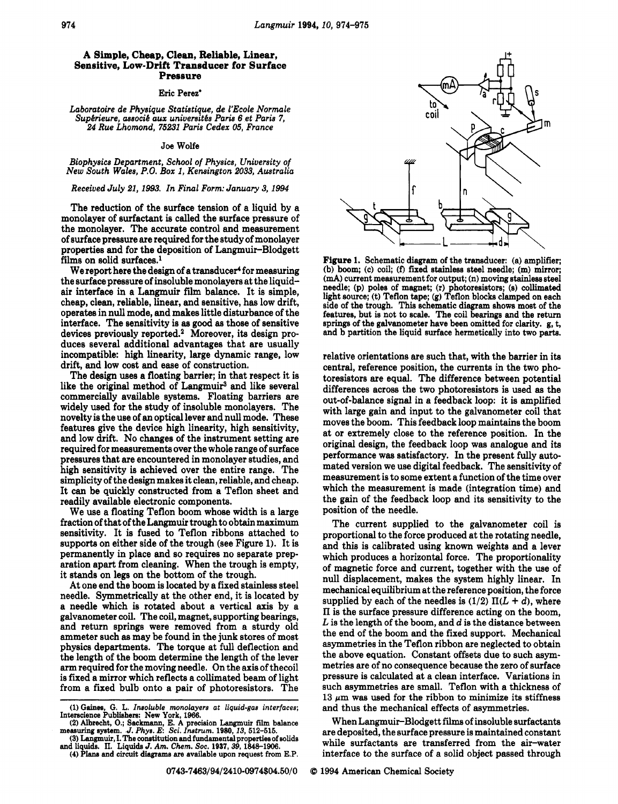## **A Simple, Cheap, Clean, Reliable, Linear, Sensitive, Low-Drift Transducer for Surface Pressure**

Eric Perez'

*Laboratoire de Physique Statistique, de I'Ecole Normale*  Supérieure, associé aux universités Paris 6 et Paris 7, *24 Rue Lhomond, 75231 Paris Cedex 05, France* 

## **Joe** Wolfe

*Biophysics Department, School of Physics, University of New South Wales, P.O. Box 1, Kensington 2033, Australia* 

## *Received July 21,1993. In Finial Form: January 3,1994*

The reduction of the surface tension of a liquid by a monolayer of surfactant is called the surface pressure of the monolayer. The accurate control and measurement of surface pressure are required for the study of monolayer properties and for the deposition of Langmuir-Blodgett films on solid surfaces.'

We report here the design of a transducer<sup>4</sup> for measuring the surface pressure of insoluble monolayers at the liquidair interface in a Langmuir film balance. It is simple, cheap, clean, reliable, linear, and sensitive, has low drift, operates in null mode, and makes little disturbance of the interface. The sensitivity is **as** good **as** those of sensitive devices previously reported.2 Moreover, ita design produces several additional advantages that are usually incompatible: high linearity, large dynamic range, low drift, and low cost and ease of construction.

The design uses a floating barrier; in that respect it is like the original method of Langmuir<sup>3</sup> and like several commercially available systems. Floating barriers are widely used for the study of insoluble monolayers. The novelty is the use of an optical lever and null mode. These features give the device high linearity, high sensitivity, and low drift. No changes of the instrument setting are required for measurementa over the whole range of surface pressures that are encountered in monolayer studies, and high sensitivity is achieved over the entire range. The simplicity of the design makes it clean, reliable, and cheap. It can be quickly constructed from a Teflon sheet and readily available electronic components.

We use a floating Teflon boom whose width is a large fraction of that of the Langmuir trough to obtain maximum sensitivity. It is fused to Teflon ribbons attached to supporta on either side of the trough (see Figure 1). It is permanently in place and so requires no separate preparation apart from cleaning. When the trough is empty, it stands on legs on the bottom of the trough.

At one end the boom is located by a fixed stainless steel needle. Symmetrically at the other end, it is located by a needle which is rotated about a vertical axis by a and return springs were removed from a sturdy old ammeter such **as** may be found in the junk stores of most physics departments. The torque at full deflection and the length of the boom determine the length of the lever arm required for the moving needle. On the axis of thecoil is fixed a mirror which reflects a collimated beam of light from a fixed bulb onto a pair of photoresistors. The

**(4)** Pb **and** circuit **diagrams** *are* available upon request from E.P.



Figure *1.* Schematic diagram of the transducer: (a) amplifier; (b) boom; (c) coil; *(f)* fixed stainless steel needle; (m) mirror; **(mA)** current measurement for output; (n) moving stainless steel needle; (p) poles of magnet; (r) photoresistore; *(8)* collimated light source; (t) Teflon tape; (g) Teflon blocks clamped on each side of the trough. **This** schematic diagram shows most of the features, but is not to scale. The coil bearings and the return springs of the galvanometer have been omitted for clarity. g, t, and b partition the liquid surface hermetically **into** two parts.

relative orientations are such that, with the barrier in ita central, reference position, the currenta in the two photoresistors are equal. The difference between potential differences across the two photoresistors is used **as** the out-of-balance signal in a feedback loop: it is amplified with large gain and input to the galvanometer coil that moves the boom. This feedback loop maintains the boom at or extremely close to the reference position. In the original design, the feedback loop was analogue and ita performance was satisfactory. In the present fully automated version we use digital feedback. The sensitivity of measurement is to some extent a function of the time over which the measurement is made (integration time) and the gain of the feedback loop and ita sensitivity to the position of the needle.

The current supplied to the galvanometer coil is proportional to the force produced at the rotating needle, and this is calibrated using **known** weights and a lever which produces a horizontal force. The proportionality of magnetic force and current, together with the use of null displacement, makes the system highly linear. In mechanical equilibrium at the reference position, the force supplied by each of the needles is  $(1/2) \Pi(L + d)$ , where **II** is the surface pressure difference acting on the boom, *L* is the length of the boom, and *d* is the distance between the end of the boom and the fixed support. Mechanical asymmetries in the Teflon ribbon are neglected to obtain the above equation. Constant offsets due to such asymmetries are of no consequence because the zero of surface pressure is calculated at a clean interface. Variations in such asymmetries are small. Teflon with a thickness of 13  $\mu$ m was used for the ribbon to minimize its stiffness and thus the mechanical effects of asymmetries.

When Langmuir-Blodgett **fiims** of insoluble surfactants are deposited, the surface pressure is maintained constant while surfactants are transferred from the air-water interface to the surface of a solid object passed through

*<sup>(1)</sup>* **Gainw,** G. L. *Insoluble monolayers at liquid-gas interfaces;*  Intarscience Publishers: **New York,** *1986.* 

*<sup>(2)</sup>* Albrecht, *0.;* Sack", E. A precision Langmuir **film** balance measuring system. *J. Phys. E: Sci. Instrum.* 1980, 13, 512-515.<br>(3) Langmuir, I. The constitution and fundamental properties of solids

and liquids. **II.** Liquida J. *Am. Chem. SOC. 1937,39,1848-1906.*